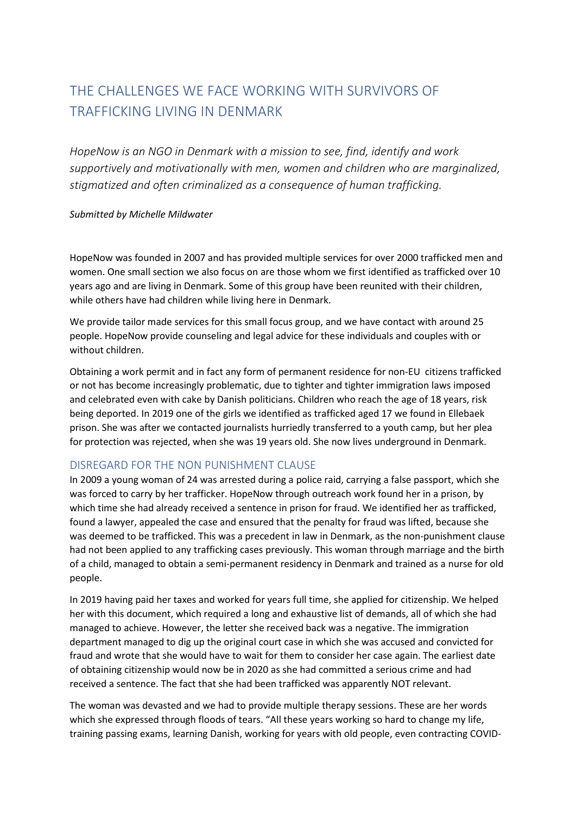## THE CHALLENGES WE FACE WORKING WITH SURVIVORS OF TRAFFICKING LIVING IN DENMARK

*HopeNow is an NGO in Denmark with a mission to see, find, identify and work supportively and motivationally with men, women and children who are marginalized, stigmatized and often criminalized as a consequence of human trafficking.* 

## *Submitted by Michelle Mildwater*

HopeNow was founded in 2007 and has provided multiple services for over 2000 trafficked men and women. One small section we also focus on are those whom we first identified as trafficked over 10 years ago and are living in Denmark. Some of this group have been reunited with their children, while others have had children while living here in Denmark.

We provide tailor made services for this small focus group, and we have contact with around 25 people. HopeNow provide counseling and legal advice for these individuals and couples with or without children.

Obtaining a work permit and in fact any form of permanent residence for non-EU citizens trafficked or not has become increasingly problematic, due to tighter and tighter immigration laws imposed and celebrated even with cake by Danish politicians. Children who reach the age of 18 years, risk being deported. In 2019 one of the girls we identified as trafficked aged 17 we found in Ellebaek prison. She was after we contacted journalists hurriedly transferred to a youth camp, but her plea for protection was rejected, when she was 19 years old. She now lives underground in Denmark.

## DISREGARD FOR THE NON PUNISHMENT CLAUSE

In 2009 a young woman of 24 was arrested during a police raid, carrying a false passport, which she was forced to carry by her trafficker. HopeNow through outreach work found her in a prison, by which time she had already received a sentence in prison for fraud. We identified her as trafficked, found a lawyer, appealed the case and ensured that the penalty for fraud was lifted, because she was deemed to be trafficked. This was a precedent in law in Denmark, as the non-punishment clause had not been applied to any trafficking cases previously. This woman through marriage and the birth of a child, managed to obtain a semi-permanent residency in Denmark and trained as a nurse for old people.

In 2019 having paid her taxes and worked for years full time, she applied for citizenship. We helped her with this document, which required a long and exhaustive list of demands, all of which she had managed to achieve. However, the letter she received back was a negative. The immigration department managed to dig up the original court case in which she was accused and convicted for fraud and wrote that she would have to wait for them to consider her case again. The earliest date of obtaining citizenship would now be in 2020 as she had committed a serious crime and had received a sentence. The fact that she had been trafficked was apparently NOT relevant.

The woman was devasted and we had to provide multiple therapy sessions. These are her words which she expressed through floods of tears. "All these years working so hard to change my life, training passing exams, learning Danish, working for years with old people, even contracting COVID-